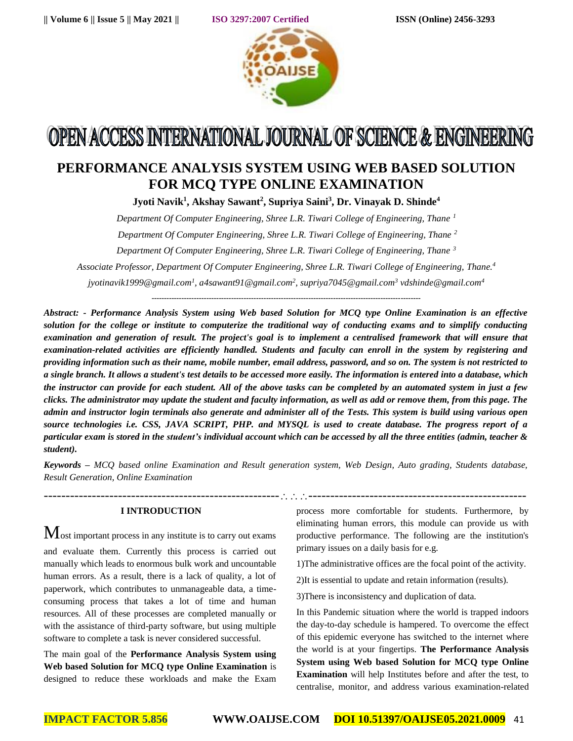

# OPEN ACCESS INTERNATIONAL JOURNAL OF SCIENCE & ENGINEERING

# **PERFORMANCE ANALYSIS SYSTEM USING WEB BASED SOLUTION FOR MCQ TYPE ONLINE EXAMINATION**

**Jyoti Navik<sup>1</sup> , Akshay Sawant<sup>2</sup> , Supriya Saini<sup>3</sup> , Dr. Vinayak D. Shinde<sup>4</sup>**

*Department Of Computer Engineering, Shree L.R. Tiwari College of Engineering, Thane <sup>1</sup>*

*Department Of Computer Engineering, Shree L.R. Tiwari College of Engineering, Thane <sup>2</sup>*

*Department Of Computer Engineering, Shree L.R. Tiwari College of Engineering, Thane <sup>3</sup>*

*Associate Professor, Department Of Computer Engineering, Shree L.R. Tiwari College of Engineering, Thane.<sup>4</sup>*

*jyotinavik1999@gmail.com<sup>1</sup> , a4sawant91@gmail.com<sup>2</sup> , supriya7045@gmail.com<sup>3</sup> [vdshinde@gmail.com](mailto:vdshinde@gmail.com)<sup>4</sup>*

**------------------------------------------------------------------------------------------------------------**

*Abstract: - Performance Analysis System using Web based Solution for MCQ type Online Examination is an effective solution for the college or institute to computerize the traditional way of conducting exams and to simplify conducting examination and generation of result. The project's goal is to implement a centralised framework that will ensure that examination-related activities are efficiently handled. Students and faculty can enroll in the system by registering and providing information such as their name, mobile number, email address, password, and so on. The system is not restricted to a single branch. It allows a student's test details to be accessed more easily. The information is entered into a database, which the instructor can provide for each student. All of the above tasks can be completed by an automated system in just a few clicks. The administrator may update the student and faculty information, as well as add or remove them, from this page. The admin and instructor login terminals also generate and administer all of the Tests. This system is build using various open source technologies i.e. CSS, JAVA SCRIPT, PHP. and MYSQL is used to create database. The progress report of a particular exam is stored in the student's individual account which can be accessed by all the three entities (admin, teacher & student).*

*Keywords – MCQ based online Examination and Result generation system, Web Design, Auto grading, Students database, Result Generation, Online Examination*

#### **I INTRODUCTION**

 $M_{\text{ost}}$  important process in any institute is to carry out exams

and evaluate them. Currently this process is carried out manually which leads to enormous bulk work and uncountable human errors. As a result, there is a lack of quality, a lot of paperwork, which contributes to unmanageable data, a timeconsuming process that takes a lot of time and human resources. All of these processes are completed manually or with the assistance of third-party software, but using multiple software to complete a task is never considered successful.

The main goal of the **Performance Analysis System using Web based Solution for MCQ type Online Examination** is designed to reduce these workloads and make the Exam process more comfortable for students. Furthermore, by eliminating human errors, this module can provide us with productive performance. The following are the institution's primary issues on a daily basis for e.g.

1)The administrative offices are the focal point of the activity.

2)It is essential to update and retain information (results).

3)There is inconsistency and duplication of data.

--------------------------------------------------------------------------------------------------------

In this Pandemic situation where the world is trapped indoors the day-to-day schedule is hampered. To overcome the effect of this epidemic everyone has switched to the internet where the world is at your fingertips. **The Performance Analysis System using Web based Solution for MCQ type Online Examination** will help Institutes before and after the test, to centralise, monitor, and address various examination-related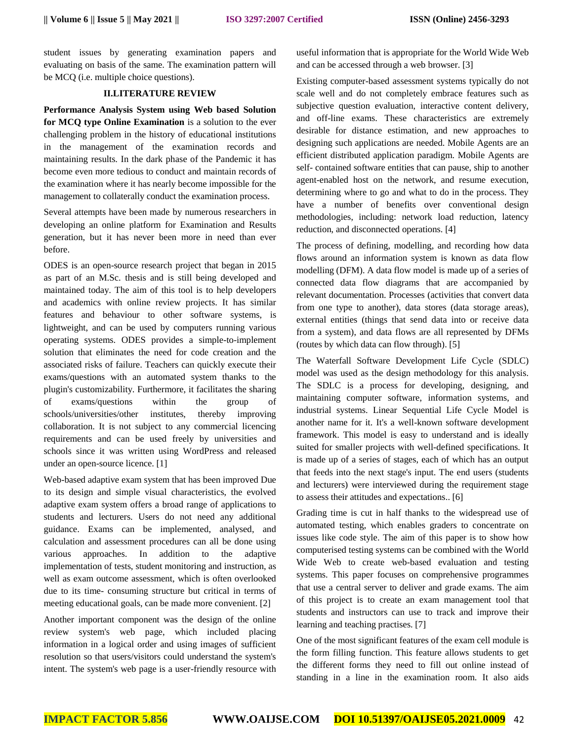student issues by generating examination papers and evaluating on basis of the same. The examination pattern will be MCQ (i.e. multiple choice questions).

#### **II.LITERATURE REVIEW**

**Performance Analysis System using Web based Solution for MCQ type Online Examination** is a solution to the ever challenging problem in the history of educational institutions in the management of the examination records and maintaining results. In the dark phase of the Pandemic it has become even more tedious to conduct and maintain records of the examination where it has nearly become impossible for the management to collaterally conduct the examination process.

Several attempts have been made by numerous researchers in developing an online platform for Examination and Results generation, but it has never been more in need than ever before.

ODES is an open-source research project that began in 2015 as part of an M.Sc. thesis and is still being developed and maintained today. The aim of this tool is to help developers and academics with online review projects. It has similar features and behaviour to other software systems, is lightweight, and can be used by computers running various operating systems. ODES provides a simple-to-implement solution that eliminates the need for code creation and the associated risks of failure. Teachers can quickly execute their exams/questions with an automated system thanks to the plugin's customizability. Furthermore, it facilitates the sharing of exams/questions within the group of schools/universities/other institutes, thereby improving collaboration. It is not subject to any commercial licencing requirements and can be used freely by universities and schools since it was written using WordPress and released under an open-source licence. [1]

Web-based adaptive exam system that has been improved Due to its design and simple visual characteristics, the evolved adaptive exam system offers a broad range of applications to students and lecturers. Users do not need any additional guidance. Exams can be implemented, analysed, and calculation and assessment procedures can all be done using various approaches. In addition to the adaptive implementation of tests, student monitoring and instruction, as well as exam outcome assessment, which is often overlooked due to its time- consuming structure but critical in terms of meeting educational goals, can be made more convenient. [2]

Another important component was the design of the online review system's web page, which included placing information in a logical order and using images of sufficient resolution so that users/visitors could understand the system's intent. The system's web page is a user-friendly resource with

useful information that is appropriate for the World Wide Web and can be accessed through a web browser. [3]

Existing computer-based assessment systems typically do not scale well and do not completely embrace features such as subjective question evaluation, interactive content delivery, and off-line exams. These characteristics are extremely desirable for distance estimation, and new approaches to designing such applications are needed. Mobile Agents are an efficient distributed application paradigm. Mobile Agents are self- contained software entities that can pause, ship to another agent-enabled host on the network, and resume execution, determining where to go and what to do in the process. They have a number of benefits over conventional design methodologies, including: network load reduction, latency reduction, and disconnected operations. [4]

The process of defining, modelling, and recording how data flows around an information system is known as data flow modelling (DFM). A data flow model is made up of a series of connected data flow diagrams that are accompanied by relevant documentation. Processes (activities that convert data from one type to another), data stores (data storage areas), external entities (things that send data into or receive data from a system), and data flows are all represented by DFMs (routes by which data can flow through). [5]

The Waterfall Software Development Life Cycle (SDLC) model was used as the design methodology for this analysis. The SDLC is a process for developing, designing, and maintaining computer software, information systems, and industrial systems. Linear Sequential Life Cycle Model is another name for it. It's a well-known software development framework. This model is easy to understand and is ideally suited for smaller projects with well-defined specifications. It is made up of a series of stages, each of which has an output that feeds into the next stage's input. The end users (students and lecturers) were interviewed during the requirement stage to assess their attitudes and expectations.. [6]

Grading time is cut in half thanks to the widespread use of automated testing, which enables graders to concentrate on issues like code style. The aim of this paper is to show how computerised testing systems can be combined with the World Wide Web to create web-based evaluation and testing systems. This paper focuses on comprehensive programmes that use a central server to deliver and grade exams. The aim of this project is to create an exam management tool that students and instructors can use to track and improve their learning and teaching practises. [7]

One of the most significant features of the exam cell module is the form filling function. This feature allows students to get the different forms they need to fill out online instead of standing in a line in the examination room. It also aids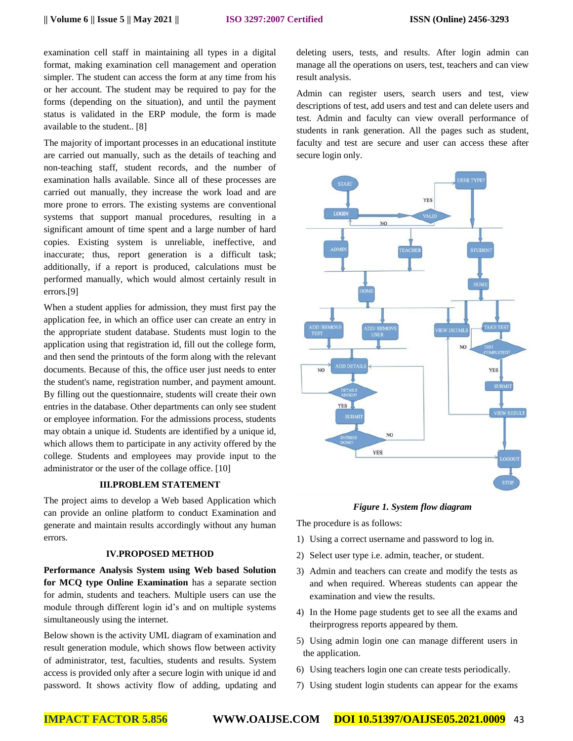examination cell staff in maintaining all types in a digital format, making examination cell management and operation simpler. The student can access the form at any time from his or her account. The student may be required to pay for the forms (depending on the situation), and until the payment status is validated in the ERP module, the form is made available to the student.. [8]

The majority of important processes in an educational institute are carried out manually, such as the details of teaching and non-teaching staff, student records, and the number of examination halls available. Since all of these processes are carried out manually, they increase the work load and are more prone to errors. The existing systems are conventional systems that support manual procedures, resulting in a significant amount of time spent and a large number of hard copies. Existing system is unreliable, ineffective, and inaccurate; thus, report generation is a difficult task; additionally, if a report is produced, calculations must be performed manually, which would almost certainly result in errors.[9]

When a student applies for admission, they must first pay the application fee, in which an office user can create an entry in the appropriate student database. Students must login to the application using that registration id, fill out the college form, and then send the printouts of the form along with the relevant documents. Because of this, the office user just needs to enter the student's name, registration number, and payment amount. By filling out the questionnaire, students will create their own entries in the database. Other departments can only see student or employee information. For the admissions process, students may obtain a unique id. Students are identified by a unique id, which allows them to participate in any activity offered by the college. Students and employees may provide input to the administrator or the user of the collage office. [10]

# **III.PROBLEM STATEMENT**

The project aims to develop a Web based Application which can provide an online platform to conduct Examination and generate and maintain results accordingly without any human errors.

#### **IV.PROPOSED METHOD**

**Performance Analysis System using Web based Solution for MCQ type Online Examination** has a separate section for admin, students and teachers. Multiple users can use the module through different login id's and on multiple systems simultaneously using the internet.

Below shown is the activity UML diagram of examination and result generation module, which shows flow between activity of administrator, test, faculties, students and results. System access is provided only after a secure login with unique id and password. It shows activity flow of adding, updating and

deleting users, tests, and results. After login admin can manage all the operations on users, test, teachers and can view result analysis.

Admin can register users, search users and test, view descriptions of test, add users and test and can delete users and test. Admin and faculty can view overall performance of students in rank generation. All the pages such as student, faculty and test are secure and user can access these after secure login only.



*Figure 1. System flow diagram*

The procedure is as follows:

- 1) Using a correct username and password to log in.
- 2) Select user type i.e. admin, teacher, or student.
- 3) Admin and teachers can create and modify the tests as and when required. Whereas students can appear the examination and view the results.
- 4) In the Home page students get to see all the exams and theirprogress reports appeared by them.
- 5) Using admin login one can manage different users in the application.
- 6) Using teachers login one can create tests periodically.
- 7) Using student login students can appear for the exams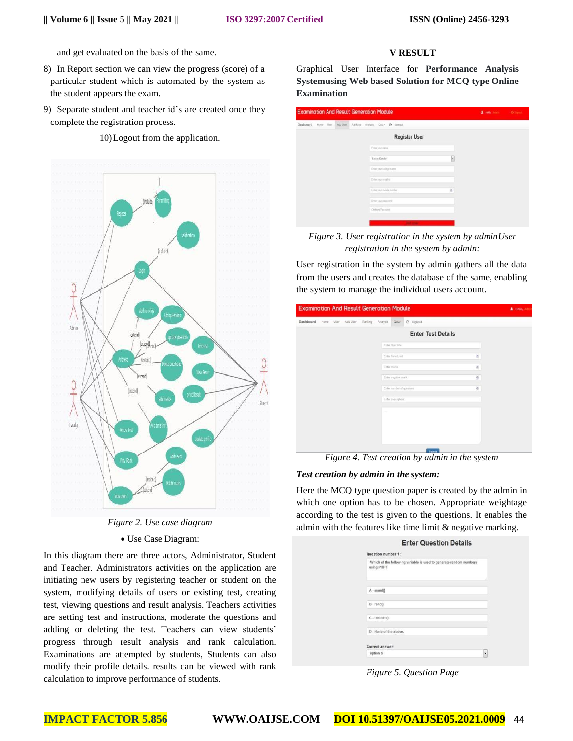and get evaluated on the basis of the same.

- 8) In Report section we can view the progress (score) of a particular student which is automated by the system as the student appears the exam.
- 9) Separate student and teacher id's are created once they complete the registration process.

10)Logout from the application.



*Figure 2. Use case diagram*

Use Case Diagram:

In this diagram there are three actors, Administrator, Student and Teacher. Administrators activities on the application are initiating new users by registering teacher or student on the system, modifying details of users or existing test, creating test, viewing questions and result analysis. Teachers activities are setting test and instructions, moderate the questions and adding or deleting the test. Teachers can view students' progress through result analysis and rank calculation. Examinations are attempted by students, Students can also modify their profile details. results can be viewed with rank calculation to improve performance of students.

# **V RESULT**

Graphical User Interface for **Performance Analysis Systemusing Web based Solution for MCQ type Online Examination**

| <b>Examination And Result Generation Module</b> |                                   |    | 1 seat anni- | O Senior |
|-------------------------------------------------|-----------------------------------|----|--------------|----------|
| Dashboard Hone User Add User                    | Ranking Analysis Cost- Co Signout |    |              |          |
|                                                 | <b>Register User</b>              |    |              |          |
|                                                 | Erne your name                    |    |              |          |
|                                                 | <b>Salact Gender</b>              | ×  |              |          |
|                                                 | Enter your college name           |    |              |          |
|                                                 | Enterprocessibili                 |    |              |          |
|                                                 | Erne your mobile number:          | 16 |              |          |
|                                                 | Erro your password                |    |              |          |
|                                                 | Colom Password                    |    |              |          |
|                                                 | 2.52.054                          |    |              |          |

*Figure 3. User registration in the system by adminUser registration in the system by admin:*

User registration in the system by admin gathers all the data from the users and creates the database of the same, enabling the system to manage the individual users account.

| Dashboard |  | Home User Add User Ranking | Analysis |                           | Quiz e Signout            |   |  |
|-----------|--|----------------------------|----------|---------------------------|---------------------------|---|--|
|           |  |                            |          |                           | <b>Enter Test Details</b> |   |  |
|           |  |                            |          | Enter Quiz title          |                           |   |  |
|           |  |                            |          | Enter Time Limit          |                           | 厦 |  |
|           |  |                            |          | Enter marks               |                           | 분 |  |
|           |  |                            |          | Enter negative mark       |                           | 崑 |  |
|           |  |                            |          | Enter number of questions |                           | 图 |  |
|           |  |                            |          | Enter description         |                           |   |  |
|           |  |                            | $\sim$   |                           |                           |   |  |
|           |  |                            |          |                           |                           |   |  |
|           |  |                            |          |                           |                           |   |  |
|           |  |                            |          |                           |                           |   |  |

*Figure 4. Test creation by admin in the system*

#### *Test creation by admin in the system:*

Here the MCQ type question paper is created by the admin in which one option has to be chosen. Appropriate weightage according to the test is given to the questions. It enables the admin with the features like time limit & negative marking.

| using PHP?     | Which of the following variable is used to generate random numbers |
|----------------|--------------------------------------------------------------------|
| A - srand()    |                                                                    |
| $B$ - rand()   |                                                                    |
| $C$ - random() |                                                                    |
|                | D - None of the above.                                             |

*Figure 5. Question Page*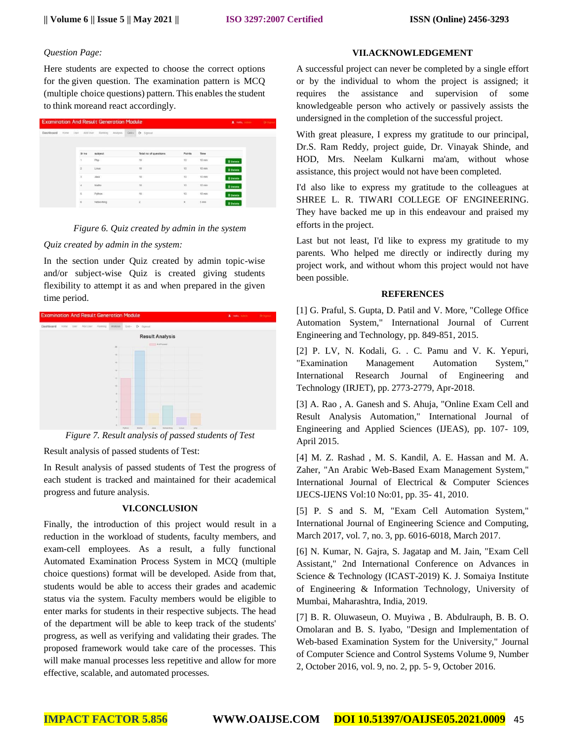#### *Question Page:*

Here students are expected to choose the correct options for the given question. The examination pattern is MCQ (multiple choice questions) pattern. This enables the student to think moreand react accordingly.

| <b>Examination And Result Generation Module</b> |      |      |          |            |           |      |                |                       |               |                 | 2 mile, anno    | <b>Or Signus</b> |
|-------------------------------------------------|------|------|----------|------------|-----------|------|----------------|-----------------------|---------------|-----------------|-----------------|------------------|
| Dashboard                                       | Home | User | Add User | Ranking    | Atlatysis | Quz- |                | C Signout             |               |                 |                 |                  |
|                                                 |      |      |          |            |           |      |                |                       |               |                 |                 |                  |
|                                                 |      |      | Sr no    | subject    |           |      |                | Total no of questions | <b>Points</b> | Time            |                 |                  |
|                                                 |      |      | 3        | Ptp        |           |      | 10             |                       | $10 -$        | $10$ min        | <b>B</b> Delete |                  |
|                                                 |      |      | ż        | Ling.      |           |      | 10             |                       | 10            | 10 min          | <b>B</b> Delete |                  |
|                                                 |      |      | 3        | Java       |           |      | 10             |                       | $70 -$        | $10$ min        | <b>B</b> Delete |                  |
|                                                 |      |      | ×        | Maths      |           |      | 10             |                       | 10            | 10 min          | <b>E</b> Delete |                  |
|                                                 |      |      | 5        | Python:    |           |      | 30             |                       | $10 -$        | $10$ min        | <b>B</b> Delete |                  |
|                                                 |      |      | 6        | Networking |           |      | $\overline{z}$ |                       | ¥.            | 5 <sub>mn</sub> | <b>B</b> Delete |                  |

### *Figure 6. Quiz created by admin in the system*

#### *Quiz created by admin in the system:*

In the section under Quiz created by admin topic-wise and/or subject-wise Quiz is created giving students flexibility to attempt it as and when prepared in the given time period.



*Figure 7. Result analysis of passed students of Test*

Result analysis of passed students of Test:

In Result analysis of passed students of Test the progress of each student is tracked and maintained for their academical progress and future analysis.

# **VI.CONCLUSION**

Finally, the introduction of this project would result in a reduction in the workload of students, faculty members, and exam-cell employees. As a result, a fully functional Automated Examination Process System in MCQ (multiple choice questions) format will be developed. Aside from that, students would be able to access their grades and academic status via the system. Faculty members would be eligible to enter marks for students in their respective subjects. The head of the department will be able to keep track of the students' progress, as well as verifying and validating their grades. The proposed framework would take care of the processes. This will make manual processes less repetitive and allow for more effective, scalable, and automated processes.

#### **VII.ACKNOWLEDGEMENT**

A successful project can never be completed by a single effort or by the individual to whom the project is assigned; it requires the assistance and supervision of some knowledgeable person who actively or passively assists the undersigned in the completion of the successful project.

With great pleasure, I express my gratitude to our principal, Dr.S. Ram Reddy, project guide, Dr. Vinayak Shinde, and HOD, Mrs. Neelam Kulkarni ma'am, without whose assistance, this project would not have been completed.

I'd also like to express my gratitude to the colleagues at SHREE L. R. TIWARI COLLEGE OF ENGINEERING. They have backed me up in this endeavour and praised my efforts in the project.

Last but not least, I'd like to express my gratitude to my parents. Who helped me directly or indirectly during my project work, and without whom this project would not have been possible.

#### **REFERENCES**

[1] G. Praful, S. Gupta, D. Patil and V. More, "College Office Automation System," International Journal of Current Engineering and Technology, pp. 849-851, 2015.

[2] P. LV, N. Kodali, G. . C. Pamu and V. K. Yepuri, "Examination Management Automation System," International Research Journal of Engineering and Technology (IRJET), pp. 2773-2779, Apr-2018.

[3] A. Rao , A. Ganesh and S. Ahuja, "Online Exam Cell and Result Analysis Automation," International Journal of Engineering and Applied Sciences (IJEAS), pp. 107- 109, April 2015.

[4] M. Z. Rashad , M. S. Kandil, A. E. Hassan and M. A. Zaher, "An Arabic Web-Based Exam Management System," International Journal of Electrical & Computer Sciences IJECS-IJENS Vol:10 No:01, pp. 35- 41, 2010.

[5] P. S and S. M, "Exam Cell Automation System," International Journal of Engineering Science and Computing, March 2017, vol. 7, no. 3, pp. 6016-6018, March 2017.

[6] N. Kumar, N. Gajra, S. Jagatap and M. Jain, "Exam Cell Assistant," 2nd International Conference on Advances in Science & Technology (ICAST-2019) K. J. Somaiya Institute of Engineering & Information Technology, University of Mumbai, Maharashtra, India, 2019.

[7] B. R. Oluwaseun, O. Muyiwa , B. Abdulrauph, B. B. O. Omolaran and B. S. Iyabo, "Design and Implementation of Web-based Examination System for the University," Journal of Computer Science and Control Systems Volume 9, Number 2, October 2016, vol. 9, no. 2, pp. 5- 9, October 2016.